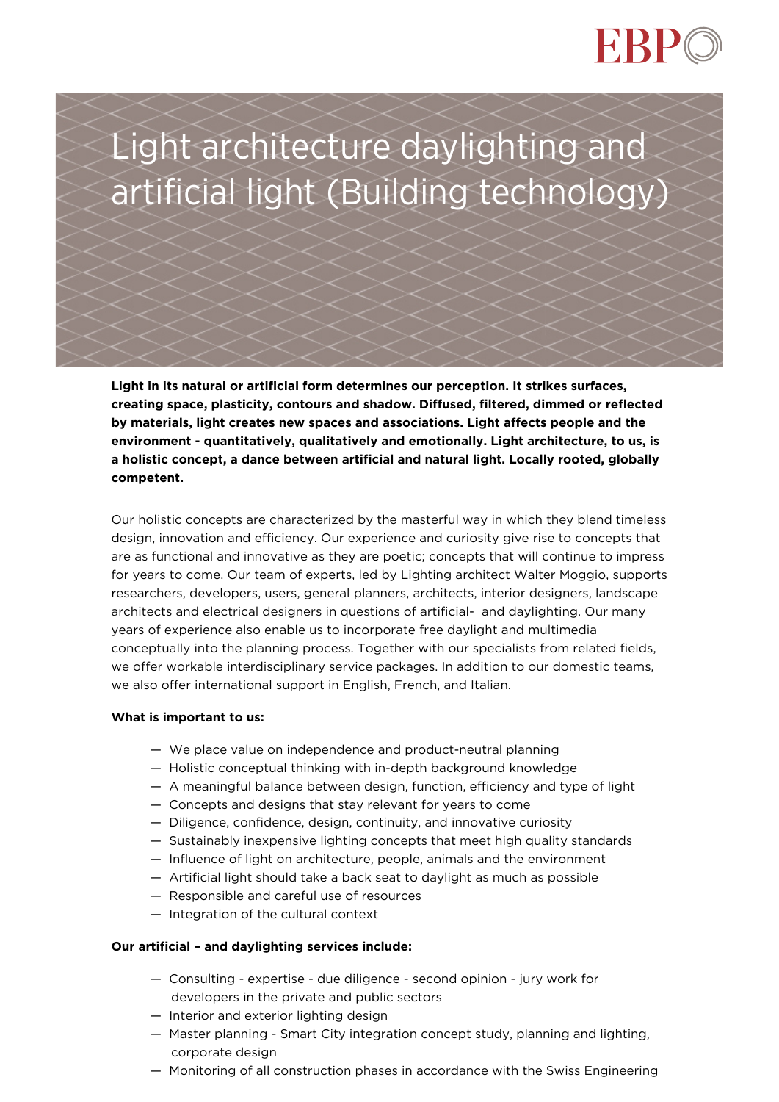



**Light in its natural or artificial form determines our perception. It strikes surfaces, creating space, plasticity, contours and shadow. Diffused, filtered, dimmed or reflected by materials, light creates new spaces and associations. Light affects people and the environment - quantitatively, qualitatively and emotionally. Light architecture, to us, is a holistic concept, a dance between artificial and natural light. Locally rooted, globally competent.**

Our holistic concepts are characterized by the masterful way in which they blend timeless design, innovation and efficiency. Our experience and curiosity give rise to concepts that are as functional and innovative as they are poetic; concepts that will continue to impress for years to come. Our team of experts, led by Lighting architect Walter Moggio, supports researchers, developers, users, general planners, architects, interior designers, landscape architects and electrical designers in questions of artificial- and daylighting. Our many years of experience also enable us to incorporate free daylight and multimedia conceptually into the planning process. Together with our specialists from related fields, we offer workable interdisciplinary service packages. In addition to our domestic teams, we also offer international support in English, French, and Italian.

#### **What is important to us:**

- We place value on independence and product-neutral planning
- Holistic conceptual thinking with in-depth background knowledge
- A meaningful balance between design, function, efficiency and type of light
- Concepts and designs that stay relevant for years to come
- Diligence, confidence, design, continuity, and innovative curiosity
- Sustainably inexpensive lighting concepts that meet high quality standards
- Influence of light on architecture, people, animals and the environment
- Artificial light should take a back seat to daylight as much as possible
- Responsible and careful use of resources
- Integration of the cultural context

#### **Our artificial – and daylighting services include:**

- Consulting expertise due diligence second opinion jury work for developers in the private and public sectors
- Interior and exterior lighting design
- Master planning Smart City integration concept study, planning and lighting, corporate design
- Monitoring of all construction phases in accordance with the Swiss Engineering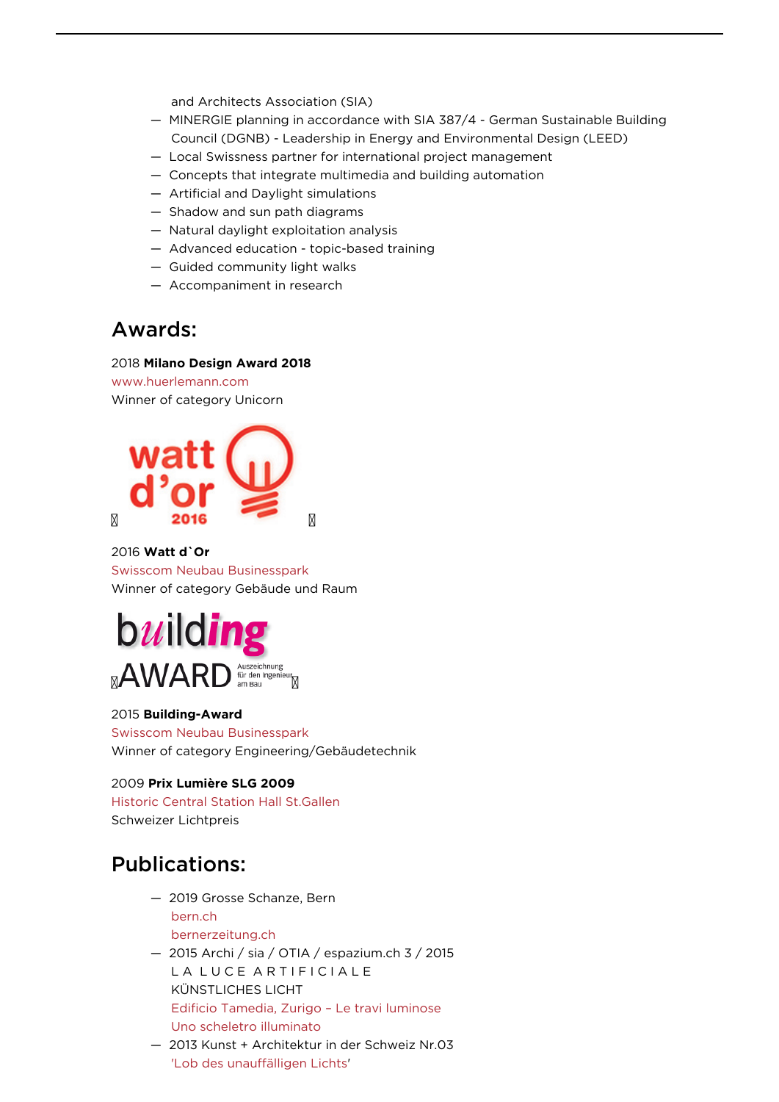and Architects Association (SIA)

- MINERGIE planning in accordance with SIA 387/4 German Sustainable Building Council (DGNB) - Leadership in Energy and Environmental Design (LEED)
- Local Swissness partner for international project management
- Concepts that integrate multimedia and building automation
- Artificial and Daylight simulations
- Shadow and sun path diagrams
- Natural daylight exploitation analysis
- Advanced education topic-based training
- Guided community light walks
- Accompaniment in research

### Awards:

#### 2018 **Milano Design Award 2018**

[www.huerlemann.com](https://www.huerlemann.com/project/giants-dwarf-milan/?filter=selection) Winner of category Unicorn



#### 2016 **Watt d`Or**

[Swisscom Neubau Businesspark](https://www.swiss-architects.com/en/ebp-schweiz-ag-zurich/project/swisscom-neubau-businesspark) Winner of category Gebäude und Raum



### 2015 **Building-Award**

[Swisscom Neubau Businesspark](https://www.swiss-architects.com/en/ebp-schweiz-ag-zurich/project/swisscom-neubau-businesspark) Winner of category Engineering/Gebäudetechnik

#### 2009 **Prix Lumière SLG 2009**

[Historic Central Station Hall St.Gallen](https://www.swiss-architects.com/en/ebp-schweiz-ag-zurich/project/historische-hauptbahnhofshalle-st-gallen) Schweizer Lichtpreis

## Publications:

- 2019 Grosse Schanze, Bern [bern.ch](https://www.bern.ch/mediencenter/medienmitteilungen/aktuell_ptk/neues-beleuchtungskonzept-fuer-die-grosse-schanze) [bernerzeitung.ch](https://www.bernerzeitung.ch/region/bern/so-soll-die-grosse-schanze-sicherer-werden/story/region/bern/so-soll-die-grosse-schanze-sicherer-werden/story/21807974)
- 2015 Archi / sia / OTIA / espazium.ch 3 / 2015 LA LUCE ARTIFICIALE KÜNSTLICHES LICHT [Edificio Tamedia, Zurigo – Le travi luminose](https://www.espazium.ch/edificio-tamedia-zurigo) [Uno scheletro illuminato](https://www.espazium.ch/uploads/55c86d21f3152.pdf)
- 2013 Kunst + Architektur in der Schweiz Nr.03 ['Lob des unauffälligen Lichts](https://www.ebp.ch/sites/default/files/unterthema/uploads/interview-wmoggio%5B1%5D.pdf)'